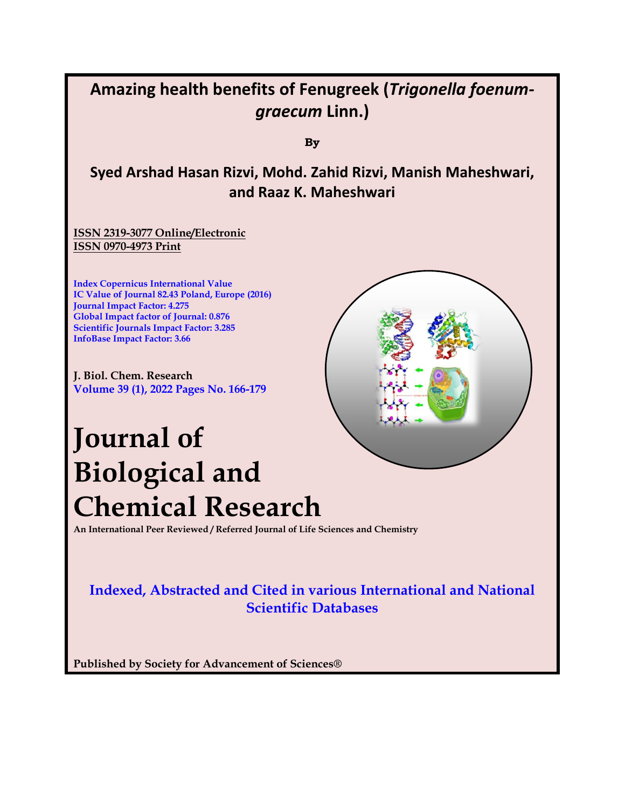## **Amazing health benefits of Fenugreek (***Trigonella foenumgraecum* **Linn.)**

**By**

## **Syed Arshad Hasan Rizvi, Mohd. Zahid Rizvi, Manish Maheshwari, and Raaz K. Maheshwari**

**ISSN 2319-3077 Online/Electronic ISSN 0970-4973 Print**

**Index Copernicus International Value IC Value of Journal 82.43 Poland, Europe (2016) Journal Impact Factor: 4.275 Global Impact factor of Journal: 0.876 Scientific Journals Impact Factor: 3.285 InfoBase Impact Factor: 3.66**

**J. Biol. Chem. Research Volume 39 (1), 2022 Pages No. 166-179**

# **Journal of Biological and Chemical Research**

**An International Peer Reviewed / Referred Journal of Life Sciences and Chemistry**

## **Indexed, Abstracted and Cited in various International and National Scientific Databases**

**Published by Society for Advancement of Sciences®**

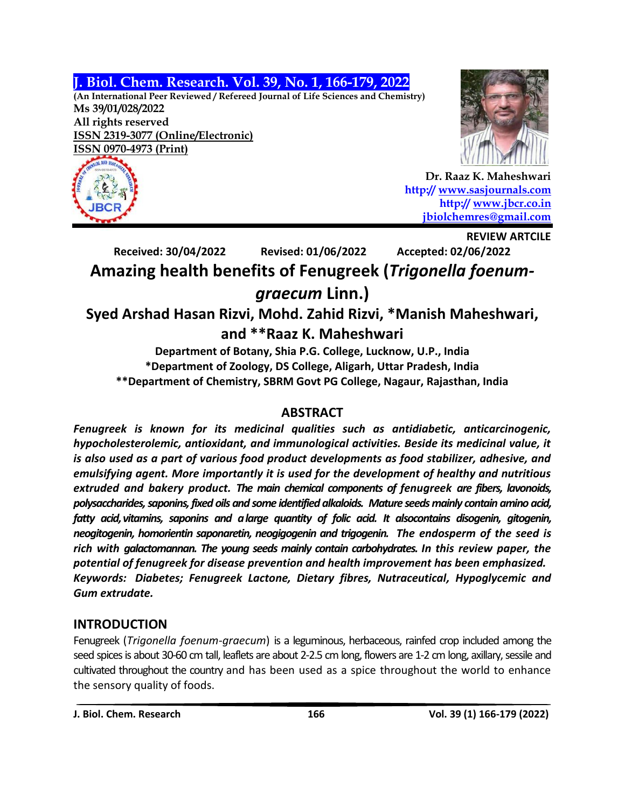## **J. Biol. Chem. Research. Vol. 39, No. 1, 166-179, 2022**

**(An International Peer Reviewed / Refereed Journal of Life Sciences and Chemistry) Ms 39/01/028/2022**

**All rights reserved ISSN 2319-3077 (Online/Electronic) ISSN 0970-4973 (Print)**





**REVIEW ARTCILE** 

**Dr. Raaz K. Maheshwari http:// [www.sasjournals.com](http://www.sasjournals.com/) http:// [www.jbcr.co.in](http://www.jbcr.co.in/) [jbiolchemres@gmail.com](mailto:jbiolchemres@gmail.com)**

**Received: 30/04/2022 Revised: 01/06/2022 Accepted: 02/06/2022 Amazing health benefits of Fenugreek (***Trigonella foenumgraecum* **Linn.)**

## **Syed Arshad Hasan Rizvi, Mohd. Zahid Rizvi, \*Manish Maheshwari, and \*\*Raaz K. Maheshwari**

**Department of Botany, Shia P.G. College, Lucknow, U.P., India \*Department of Zoology, DS College, Aligarh, Uttar Pradesh, India \*\*Department of Chemistry, SBRM Govt PG College, Nagaur, Rajasthan, India**

## **ABSTRACT**

*Fenugreek is known for its medicinal qualities such as antidiabetic, anticarcinogenic, hypocholesterolemic, antioxidant, and immunological activities. Beside its medicinal value, it is also used as a part of various food product developments as food stabilizer, adhesive, and emulsifying agent. More importantly it is used for the development of healthy and nutritious extruded and bakery product. The main chemical components of fenugreek are fibers, lavonoids, polysaccharides,saponins,fixed oils and some identified alkaloids. Mature seeds mainly contain amino acid, fatty acid,vitamins, saponins and alarge quantity of folic acid. It alsocontains disogenin, gitogenin, neogitogenin, homorientin saponaretin, neogigogenin and trigogenin. The endosperm of the seed is rich with galactomannan. The young seeds mainly contain carbohydrates. In this review paper, the potential of fenugreek for disease prevention and health improvement has been emphasized. Keywords: Diabetes; Fenugreek Lactone, Dietary fibres, Nutraceutical, Hypoglycemic and Gum extrudate.*

## **INTRODUCTION**

Fenugreek (*Trigonella foenum-graecum*) is a leguminous, herbaceous, rainfed crop included among the seed spices is about 30-60 cm tall, leaflets are about 2-2.5 cm long, flowers are 1-2 cm long, axillary, sessile and cultivated throughout the country and has been used as a spice throughout the world to enhance the sensory quality of foods.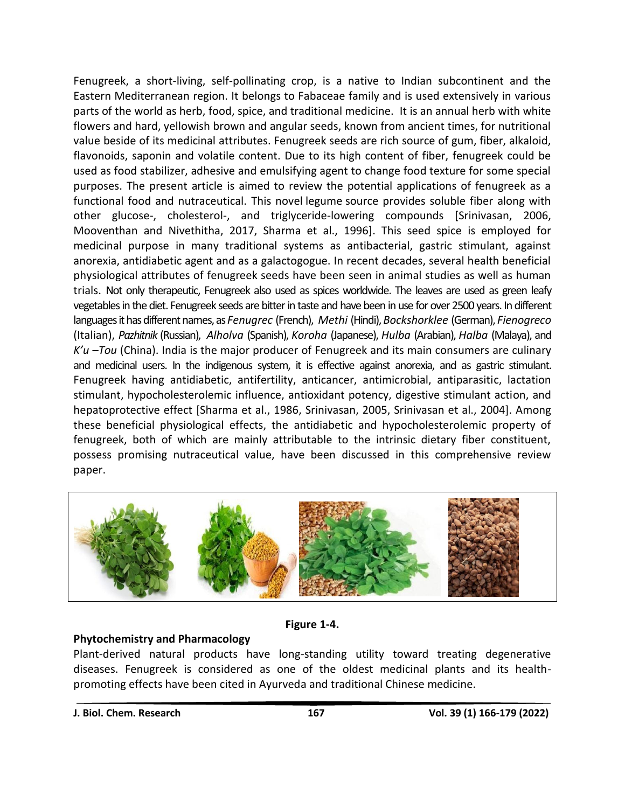Fenugreek, a short-living, self-pollinating crop, is a native to Indian subcontinent and the Eastern Mediterranean region. It belongs to Fabaceae family and is used extensively in various parts of the world as herb, food, spice, and traditional medicine. It is an annual herb with white flowers and hard, yellowish brown and angular seeds, known from ancient times, for nutritional value beside of its medicinal attributes. Fenugreek seeds are rich source of gum, fiber, alkaloid, flavonoids, saponin and volatile content. Due to its high content of fiber, fenugreek could be used as food stabilizer, adhesive and emulsifying agent to change food texture for some special purposes. The present article is aimed to review the potential applications of fenugreek as a functional food and nutraceutical. This novel [legume](https://www.sciencedirect.com/topics/agricultural-and-biological-sciences/legumes) source provides soluble fiber along with other glucose-, cholesterol-, and triglyceride-lowering compounds [Srinivasan, 2006, Mooventhan and Nivethitha, 2017, Sharma et al., 1996]. This seed spice is employed for medicinal purpose in many traditional systems as antibacterial, gastric stimulant, against anorexia, antidiabetic agent and as a galactogogue. In recent decades, several health beneficial physiological attributes of fenugreek seeds have been seen in animal studies as well as human trials. Not only therapeutic, Fenugreek also used as spices worldwide. The leaves are used as green leafy vegetables in the diet. Fenugreek seeds are bitter in taste and have been in use for over 2500 years. In different languagesithasdifferentnames,as *Fenugrec* (French), *Methi* (Hindi),*Bockshorklee* (German), *Fienogreco* (Italian), *Pazhitnik* (Russian), *Alholva* (Spanish), *Koroha* (Japanese), *Hulba* (Arabian), *Halba* (Malaya), and *K'u –Tou* (China). India is the major producer of Fenugreek and its main consumers are culinary and medicinal users. In the indigenous system, it is effective against anorexia, and as gastric stimulant. Fenugreek having antidiabetic, antifertility, anticancer, antimicrobial, antiparasitic, lactation stimulant, hypocholesterolemic influence, antioxidant potency, digestive stimulant action, and hepatoprotective effect [Sharma et al., 1986, Srinivasan, 2005, Srinivasan et al., 2004]. Among these beneficial physiological effects, the antidiabetic and hypocholesterolemic property of fenugreek, both of which are mainly attributable to the intrinsic dietary fiber constituent, possess promising nutraceutical value, have been discussed in this comprehensive review paper.



**Figure 1-4.**

#### **Phytochemistry and Pharmacology**

Plant-derived natural products have long-standing utility toward treating degenerative diseases. Fenugreek is considered as one of the oldest medicinal plants and its healthpromoting effects have been cited in Ayurveda and traditional Chinese medicine.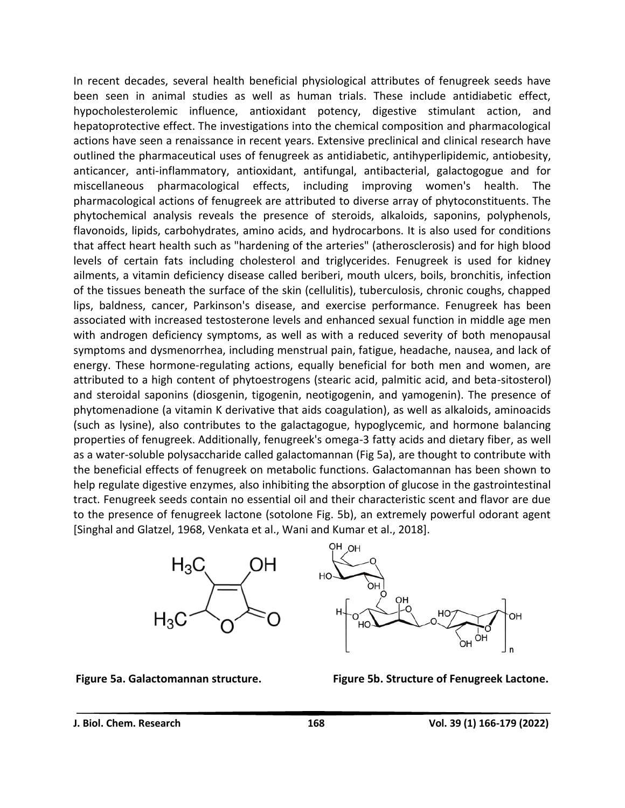In recent decades, several health beneficial physiological attributes of fenugreek seeds have been seen in animal studies as well as human trials. These include antidiabetic effect, hypocholesterolemic influence, antioxidant potency, digestive stimulant action, and hepatoprotective effect. The investigations into the chemical composition and pharmacological actions have seen a renaissance in recent years. Extensive preclinical and clinical research have outlined the pharmaceutical uses of fenugreek as antidiabetic, antihyperlipidemic, antiobesity, anticancer, anti-inflammatory, antioxidant, antifungal, antibacterial, galactogogue and for miscellaneous pharmacological effects, including improving women's health. The pharmacological actions of fenugreek are attributed to diverse array of phytoconstituents. The phytochemical analysis reveals the presence of steroids, alkaloids, saponins, polyphenols, flavonoids, lipids, carbohydrates, amino acids, and hydrocarbons. It is also used for conditions that affect heart health such as "hardening of the arteries" (atherosclerosis) and for high blood levels of certain fats including cholesterol and triglycerides. Fenugreek is used for kidney ailments, a vitamin deficiency disease called beriberi, mouth ulcers, boils, bronchitis, infection of the tissues beneath the surface of the skin (cellulitis), tuberculosis, chronic coughs, chapped lips, baldness, cancer, Parkinson's disease, and exercise performance. Fenugreek has been associated with increased testosterone levels and enhanced sexual function in middle age men with androgen deficiency symptoms, as well as with a reduced severity of both menopausal symptoms and dysmenorrhea, including menstrual pain, fatigue, headache, nausea, and lack of energy. These hormone-regulating actions, equally beneficial for both men and women, are attributed to a high content of phytoestrogens (stearic acid, palmitic acid, and beta-sitosterol) and steroidal saponins (diosgenin, tigogenin, neotigogenin, and yamogenin). The presence of phytomenadione (a vitamin K derivative that aids coagulation), as well as alkaloids, aminoacids (such as lysine), also contributes to the galactagogue, hypoglycemic, and hormone balancing properties of fenugreek. Additionally, fenugreek's omega-3 fatty acids and dietary fiber, as well as a water-soluble polysaccharide called galactomannan (Fig 5a), are thought to contribute with the beneficial effects of fenugreek on metabolic functions. Galactomannan has been shown to help regulate digestive enzymes, also inhibiting the absorption of glucose in the gastrointestinal tract. Fenugreek seeds contain no essential oil and their characteristic scent and flavor are due to the presence of fenugreek lactone (sotolone Fig. 5b), an extremely powerful odorant agent [Singhal and Glatzel, 1968, Venkata et al., Wani and Kumar et al., 2018].





**Figure 5a. Galactomannan structure. Figure 5b. Structure of Fenugreek Lactone.**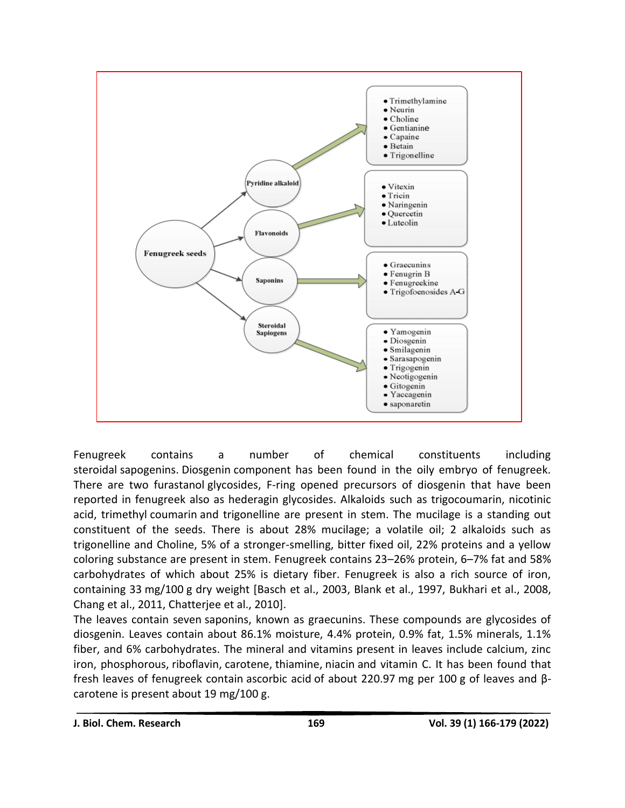

Fenugreek contains a number of chemical constituents including steroidal [sapogenins.](https://www.sciencedirect.com/topics/agricultural-and-biological-sciences/sapogenin) [Diosgenin](https://www.sciencedirect.com/topics/agricultural-and-biological-sciences/diosgenin) component has been found in the oily embryo of fenugreek. There are two furastanol [glycosides,](https://www.sciencedirect.com/topics/agricultural-and-biological-sciences/glycosides) F-ring opened precursors of diosgenin that have been reported in fenugreek also as hederagin glycosides. Alkaloids such as trigocoumarin, nicotinic acid, trimethyl [coumarin](https://www.sciencedirect.com/topics/agricultural-and-biological-sciences/coumarin) and trigonelline are present in stem. The mucilage is a standing out constituent of the seeds. There is about 28% mucilage; a volatile oil; 2 alkaloids such as trigonelline and Choline, 5% of a stronger-smelling, bitter fixed oil, 22% proteins and a yellow coloring substance are present in stem. Fenugreek contains 23–26% protein, 6–7% fat and 58% carbohydrates of which about 25% is dietary fiber. Fenugreek is also a rich source of iron, containing 33 mg/100 g dry weight [Basch et al., 2003, Blank et al., 1997, Bukhari et al., 2008, Chang et al., 2011, Chatterjee et al., 2010].

The leaves contain seven [saponins,](https://www.sciencedirect.com/topics/agricultural-and-biological-sciences/saponin) known as graecunins. These compounds are glycosides of diosgenin. Leaves contain about 86.1% moisture, 4.4% protein, 0.9% fat, 1.5% minerals, 1.1% fiber, and 6% carbohydrates. The mineral and vitamins present in leaves include calcium, zinc iron, phosphorous, [riboflavin,](https://www.sciencedirect.com/topics/agricultural-and-biological-sciences/riboflavin) [carotene,](https://www.sciencedirect.com/topics/agricultural-and-biological-sciences/carotene) [thiamine,](https://www.sciencedirect.com/topics/agricultural-and-biological-sciences/thiamine) [niacin](https://www.sciencedirect.com/topics/agricultural-and-biological-sciences/niacin) and vitamin C. It has been found that fresh leaves of fenugreek contain [ascorbic acid](https://www.sciencedirect.com/topics/agricultural-and-biological-sciences/ascorbic-acid) of about 220.97 mg per 100 g of leaves and βcarotene is present about 19 mg/100 g.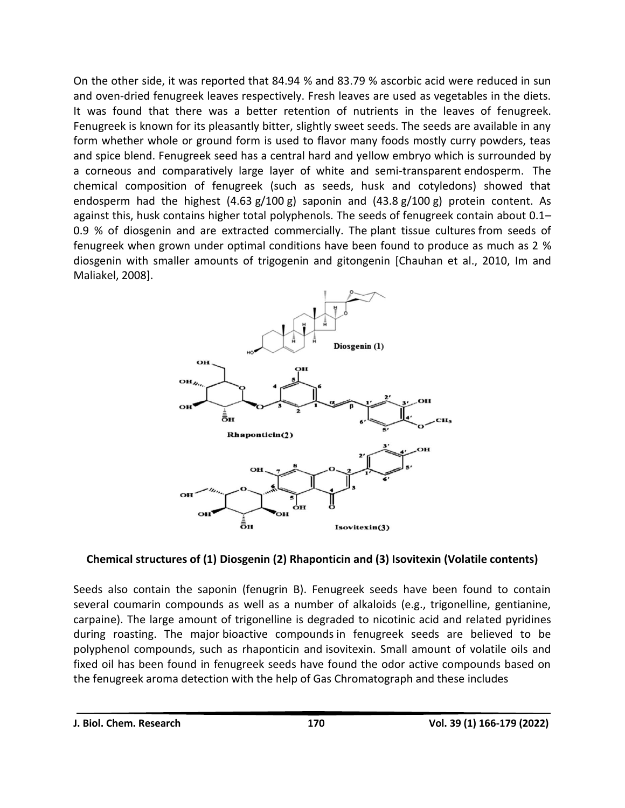On the other side, it was reported that 84.94 % and 83.79 % ascorbic acid were reduced in sun and oven-dried fenugreek leaves respectively. Fresh leaves are used as vegetables in the diets. It was found that there was a better retention of nutrients in the leaves of fenugreek. Fenugreek is known for its pleasantly bitter, slightly sweet seeds. The seeds are available in any form whether whole or ground form is used to flavor many foods mostly curry powders, teas and spice blend. Fenugreek seed has a central hard and yellow embryo which is surrounded by a corneous and comparatively large layer of white and semi-transparent [endosperm.](https://www.sciencedirect.com/topics/agricultural-and-biological-sciences/endosperm) The chemical composition of fenugreek (such as seeds, husk and cotyledons) showed that endosperm had the highest  $(4.63 g/100 g)$  saponin and  $(43.8 g/100 g)$  protein content. As against this, husk contains higher total polyphenols. The seeds of fenugreek contain about 0.1– 0.9 % of diosgenin and are extracted commercially. The [plant tissue cultures](https://www.sciencedirect.com/topics/agricultural-and-biological-sciences/plant-tissue-culture) from seeds of fenugreek when grown under optimal conditions have been found to produce as much as 2 % diosgenin with smaller amounts of trigogenin and gitongenin [Chauhan et al., 2010, Im and Maliakel, 2008].



#### **Chemical structures of (1) [Diosgenin](https://www.sciencedirect.com/topics/agricultural-and-biological-sciences/diosgenin) (2) Rhaponticin and (3) [Isovitexin](https://www.sciencedirect.com/topics/agricultural-and-biological-sciences/isovitexin) (Volatile contents)**

Seeds also contain the saponin (fenugrin B). Fenugreek seeds have been found to contain several coumarin compounds as well as a number of alkaloids (e.g., trigonelline, gentianine, carpaine). The large amount of trigonelline is degraded to nicotinic acid and related pyridines during roasting. The major [bioactive compounds](https://www.sciencedirect.com/topics/agricultural-and-biological-sciences/bioactive-compound) in fenugreek seeds are believed to be polyphenol compounds, such as rhaponticin and [isovitexin.](https://www.sciencedirect.com/topics/agricultural-and-biological-sciences/isovitexin) Small amount of volatile oils and fixed oil has been found in fenugreek seeds have found the odor active compounds based on the fenugreek aroma detection with the help of Gas Chromatograph and these includes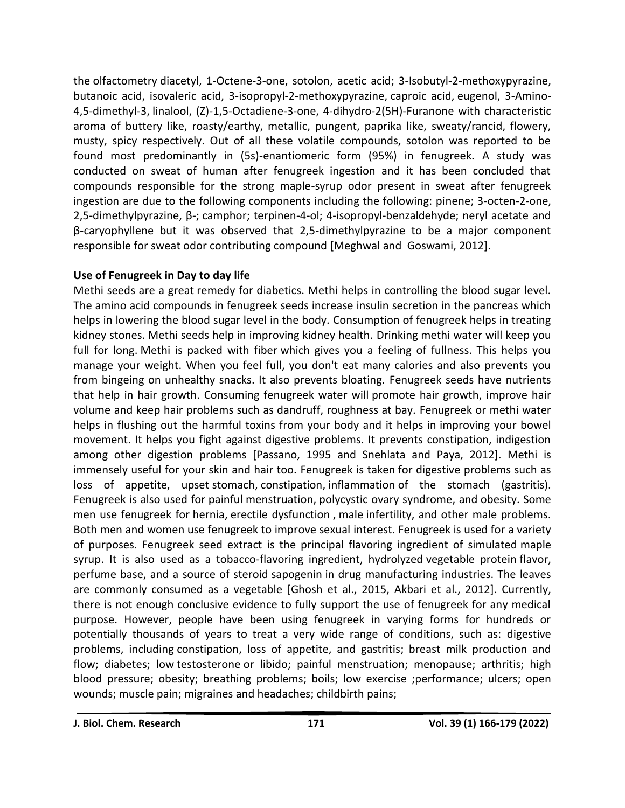the [olfactometry](https://www.sciencedirect.com/topics/agricultural-and-biological-sciences/olfactometry) diacetyl, 1-Octene-3-one, sotolon, acetic acid; 3-Isobutyl-2-methoxypyrazine, butanoic acid, isovaleric acid, 3-isopropyl-2-methoxypyrazine, [caproic acid,](https://www.sciencedirect.com/topics/agricultural-and-biological-sciences/hexanoic-acid) [eugenol,](https://www.sciencedirect.com/topics/agricultural-and-biological-sciences/eugenol) 3-Amino-4,5-dimethyl-3, [linalool,](https://www.sciencedirect.com/topics/agricultural-and-biological-sciences/linalool) (Z)-1,5-Octadiene-3-one, 4-dihydro-2(5H)-Furanone with characteristic aroma of buttery like, roasty/earthy, metallic, pungent, paprika like, sweaty/rancid, flowery, musty, spicy respectively. Out of all these volatile compounds, sotolon was reported to be found most predominantly in (5s)-enantiomeric form (95%) in fenugreek. A study was conducted on sweat of human after fenugreek ingestion and it has been concluded that compounds responsible for the strong maple-syrup odor present in sweat after fenugreek ingestion are due to the following components including the following: pinene; 3-octen-2-one, 2,5-dimethylpyrazine, β-; [camphor;](https://www.sciencedirect.com/topics/agricultural-and-biological-sciences/camphor) terpinen-4-ol; 4-isopropyl-benzaldehyde; neryl acetate and β-caryophyllene but it was observed that 2,5-dimethylpyrazine to be a major component responsible for sweat odor contributing compound [Meghwal and Goswami, 2012].

#### **Use of Fenugreek in Day to day life**

Methi seeds are a great [remedy for diabetics.](https://www.herzindagi.com/diary/if-you-are-having-diabetes-these-are-the-best-foods-for-you-article-57640) Methi helps in controlling the blood sugar level. The amino acid compounds in fenugreek seeds increase insulin secretion in the pancreas which helps in lowering the blood sugar level in the body. Consumption of fenugreek helps in treating kidney stones. Methi seeds help in improving kidney health. Drinking methi water will keep you full for long. [Methi is packed with fiber](https://www.herzindagi.com/diet-nutrition/surprising-health-benefits-of-fenugreek-methi-leaves-seeds-article-68083) which gives you a feeling of fullness. This helps you manage your weight. When you feel full, you don't eat many calories and also prevents you from bingeing on unhealthy snacks. It also prevents bloating. Fenugreek seeds have nutrients that help in hair growth. Consuming fenugreek water will [promote hair growth,](https://www.herzindagi.com/diet-nutrition/prevent-hair-loss-eat-green-beans-carrots-oats-eggs-avoid-these-mistakes-too-article-141121) improve hair volume and keep hair problems such as dandruff, roughness at bay. Fenugreek or methi water helps in flushing out the harmful toxins from your body and it helps in improving your bowel movement. It helps you fight against digestive problems. It prevents constipation, indigestion among other digestion problems [Passano, 1995 and Snehlata and Paya, 2012]. Methi is immensely useful for your skin and hair too. Fenugreek is taken for digestive problems such as loss of appetite, upset [stomach,](https://www.rxlist.com/script/main/art.asp?articlekey=5560) [constipation,](https://www.rxlist.com/script/main/art.asp?articlekey=2829) [inflammation](https://www.rxlist.com/script/main/art.asp?articlekey=3979) of the stomach [\(gastritis\)](https://www.rxlist.com/script/main/art.asp?articlekey=3551). Fenugreek is also used for painful [menstruation,](https://www.rxlist.com/script/main/art.asp?articlekey=4355) [polycystic ovary syndrome,](https://www.rxlist.com/script/main/art.asp?articlekey=4981) and [obesity.](https://www.rxlist.com/script/main/art.asp?articlekey=4607) Some men use fenugreek for [hernia,](https://www.rxlist.com/hernia/drugs-condition.htm) [erectile dysfunction](https://www.rxlist.com/script/main/art.asp?articlekey=3298) , [male](https://www.rxlist.com/script/main/art.asp?articlekey=4257) [infertility,](https://www.rxlist.com/script/main/art.asp?articlekey=3977) and other male problems. Both men and women use fenugreek to improve sexual interest. Fenugreek is used for a variety of purposes. Fenugreek seed extract is the principal flavoring ingredient of simulated [maple](https://www.sciencedirect.com/topics/agricultural-and-biological-sciences/maple-syrup)  [syrup.](https://www.sciencedirect.com/topics/agricultural-and-biological-sciences/maple-syrup) It is also used as a tobacco-flavoring ingredient, hydrolyzed [vegetable protein](https://www.sciencedirect.com/topics/agricultural-and-biological-sciences/vegetable-protein) flavor, perfume base, and a source of steroid [sapogenin](https://www.sciencedirect.com/topics/agricultural-and-biological-sciences/sapogenin) in drug manufacturing industries. The leaves are commonly consumed as a vegetable [Ghosh et al., 2015, Akbari et al., 2012]. Currently, there is not enough conclusive evidence to fully support the use of fenugreek for any medical purpose. However, people have been using fenugreek in varying forms for hundreds or potentially thousands of years to treat a very wide range of conditions, such as: digestive problems, including [constipation,](https://www.medicalnewstoday.com/articles/150322.php) loss of appetite, and gastritis; breast milk production and flow; diabetes; low [testosterone](https://www.medicalnewstoday.com/articles/276013.php) or libido; painful menstruation; [menopause;](https://www.medicalnewstoday.com/articles/155651.php) [arthritis;](https://www.medicalnewstoday.com/articles/7621.php) high blood pressure; obesity; breathing problems; [boils;](https://www.medicalnewstoday.com/articles/185421.php) low exercise ;performance; ulcers; open wounds; muscle pain; [migraines](https://www.medicalnewstoday.com/articles/148373.php) and [headaches;](https://www.medicalnewstoday.com/articles/73936.php) childbirth pains;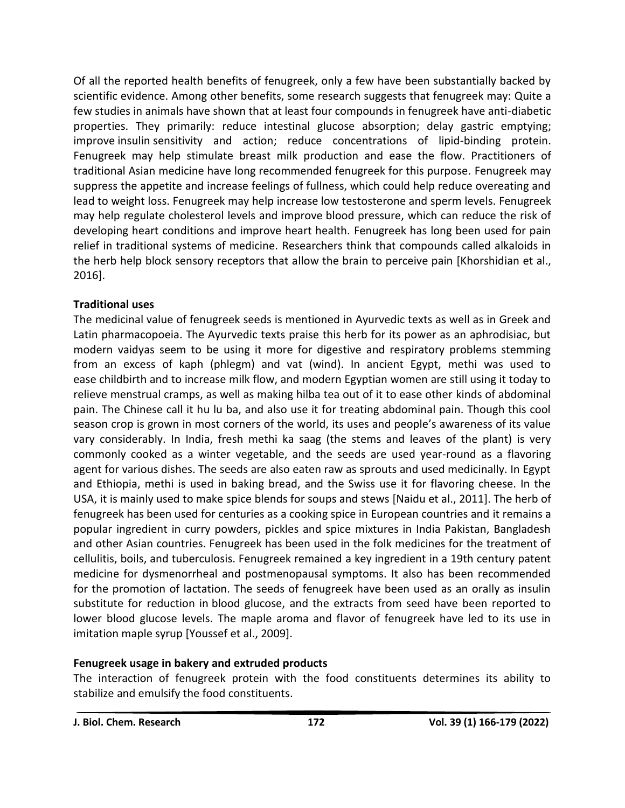Of all the reported health benefits of fenugreek, only a few have been substantially backed by scientific evidence. Among other benefits, some research suggests that fenugreek may: Quite a few studies in animals have shown that at least four compounds in fenugreek have anti-diabetic properties. They primarily: reduce intestinal glucose absorption; delay gastric emptying; improve [insulin](https://www.medicalnewstoday.com/info/diabetes/whatisinsulin.php) sensitivity and action; reduce concentrations of lipid-binding protein. Fenugreek may help stimulate breast milk production and ease the flow. Practitioners of traditional Asian medicine have long recommended fenugreek for this purpose. Fenugreek may suppress the appetite and increase feelings of fullness, which could help reduce overeating and lead to weight loss. Fenugreek may help increase low testosterone and sperm levels. Fenugreek may help regulate cholesterol levels and improve [blood pressure,](https://www.medicalnewstoday.com/articles/270644.php) which can reduce the risk of developing heart conditions and improve heart health. Fenugreek has long been used for pain relief in traditional systems of medicine. Researchers think that compounds called alkaloids in the herb help block sensory receptors that allow the brain to perceive pain [Khorshidian et al., 2016].

#### **Traditional uses**

The medicinal value of fenugreek seeds is mentioned in Ayurvedic texts as well as in Greek and Latin pharmacopoeia. The Ayurvedic texts praise this herb for its power as an aphrodisiac, but modern vaidyas seem to be using it more for digestive and respiratory problems stemming from an excess of kaph (phlegm) and vat (wind). In ancient Egypt, methi was used to ease [childbirth](https://www.sciencedirect.com/topics/agricultural-and-biological-sciences/childbirth) and to increase milk flow, and modern Egyptian women are still using it today to relieve menstrual cramps, as well as making hilba tea out of it to ease other kinds of abdominal pain. The Chinese call it hu lu ba, and also use it for treating abdominal pain. Though this cool season crop is grown in most corners of the world, its uses and people's awareness of its value vary considerably. In India, fresh methi ka saag (the stems and leaves of the plant) is very commonly cooked as a winter vegetable, and the seeds are used year-round as a flavoring agent for various dishes. The seeds are also eaten raw as sprouts and used medicinally. In Egypt and Ethiopia, methi is used in baking bread, and the Swiss use it for flavoring cheese. In the USA, it is mainly used to make spice blends for soups and stews [Naidu et al., 2011]. The herb of fenugreek has been used for centuries as a cooking spice in European countries and it remains a popular ingredient in curry powders, pickles and spice mixtures in India Pakistan, Bangladesh and other Asian countries. Fenugreek has been used in the folk medicines for the treatment of cellulitis, boils, and tuberculosis. Fenugreek remained a key ingredient in a 19th century patent medicine for dysmenorrheal and postmenopausal symptoms. It also has been recommended for the promotion of lactation. The seeds of fenugreek have been used as an orally as insulin substitute for reduction in [blood glucose,](https://www.sciencedirect.com/topics/agricultural-and-biological-sciences/blood-glucose) and the extracts from seed have been reported to lower blood glucose levels. The maple aroma and flavor of fenugreek have led to its use in imitation [maple syrup](https://www.sciencedirect.com/topics/agricultural-and-biological-sciences/maple-syrup) [Youssef et al., 2009].

#### **Fenugreek usage in bakery and extruded products**

The interaction of fenugreek protein with the food constituents determines its ability to stabilize and emulsify the food constituents.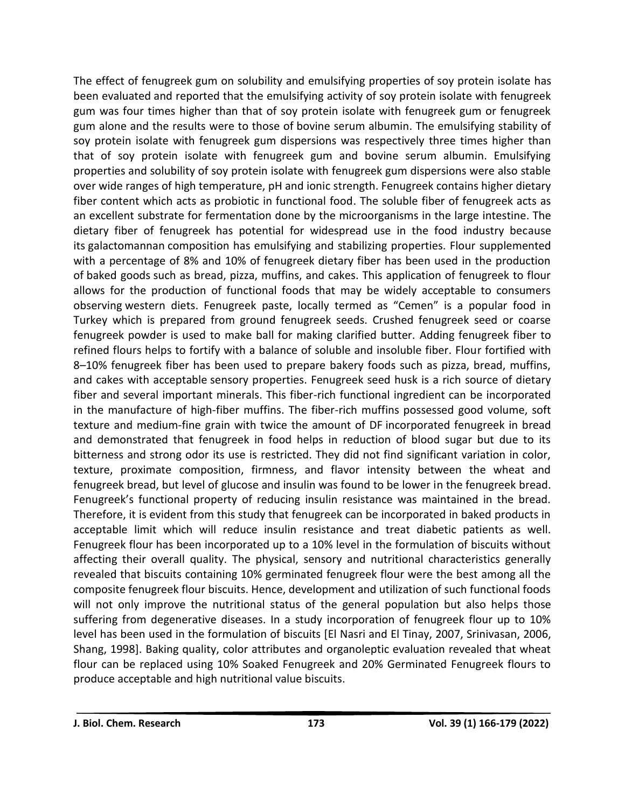The effect of fenugreek gum on solubility and emulsifying properties of [soy protein isolate](https://www.sciencedirect.com/topics/agricultural-and-biological-sciences/soy-protein-isolate) has been evaluated and reported that the emulsifying activity of soy protein isolate with fenugreek gum was four times higher than that of soy protein isolate with fenugreek gum or fenugreek gum alone and the results were to those of [bovine serum albumin.](https://www.sciencedirect.com/topics/agricultural-and-biological-sciences/bovine-serum-albumin) The emulsifying stability of soy protein isolate with fenugreek gum dispersions was respectively three times higher than that of soy protein isolate with fenugreek gum and bovine serum albumin. Emulsifying properties and solubility of soy protein isolate with fenugreek gum dispersions were also stable over wide ranges of high temperature, pH and ionic strength. Fenugreek contains higher dietary fiber content which acts as probiotic in functional food. The soluble fiber of fenugreek acts as an excellent substrate for fermentation done by the microorganisms in the [large intestine.](https://www.sciencedirect.com/topics/agricultural-and-biological-sciences/large-intestine) The dietary fiber of fenugreek has potential for widespread use in the food industry because its [galactomannan](https://www.sciencedirect.com/topics/agricultural-and-biological-sciences/galactomannan) composition has emulsifying and stabilizing properties. Flour supplemented with a percentage of 8% and 10% of fenugreek dietary fiber has been used in the production of [baked goods](https://www.sciencedirect.com/topics/agricultural-and-biological-sciences/baked-goods) such as bread, pizza, muffins, and cakes. This application of fenugreek to flour allows for the production of functional foods that may be widely acceptable to consumers observing [western diets.](https://www.sciencedirect.com/topics/agricultural-and-biological-sciences/western-diets) Fenugreek paste, locally termed as "Cemen" is a popular food in Turkey which is prepared from ground fenugreek seeds. Crushed fenugreek seed or coarse fenugreek powder is used to make ball for making clarified butter. Adding fenugreek fiber to refined flours helps to fortify with a balance of soluble and insoluble fiber. Flour fortified with 8–10% fenugreek fiber has been used to prepare bakery foods such as pizza, bread, muffins, and cakes with acceptable [sensory properties.](https://www.sciencedirect.com/topics/agricultural-and-biological-sciences/sensory-properties) Fenugreek seed husk is a rich source of dietary fiber and several important minerals. This fiber-rich functional ingredient can be incorporated in the manufacture of high-fiber muffins. The fiber-rich muffins possessed good volume, soft texture and medium-fine grain with twice the amount of DF incorporated fenugreek in bread and demonstrated that fenugreek in food helps in reduction of blood sugar but due to its bitterness and strong odor its use is restricted. They did not find significant variation in color, texture, proximate composition, firmness, and flavor intensity between the wheat and fenugreek bread, but level of glucose and insulin was found to be lower in the fenugreek bread. Fenugreek's functional property of reducing insulin resistance was maintained in the bread. Therefore, it is evident from this study that fenugreek can be incorporated in baked products in acceptable limit which will reduce insulin resistance and treat diabetic patients as well. Fenugreek flour has been incorporated up to a 10% level in the formulation of biscuits without affecting their overall quality. The physical, sensory and nutritional characteristics generally revealed that biscuits containing 10% germinated fenugreek flour were the best among all the composite fenugreek flour biscuits. Hence, development and utilization of such functional foods will not only improve the nutritional status of the general population but also helps those suffering from degenerative diseases. In a study incorporation of fenugreek flour up to 10% level has been used in the formulation of biscuits [El Nasri and El Tinay, 2007, Srinivasan, 2006, Shang, 1998]. Baking quality, color attributes and organoleptic evaluation revealed that wheat flour can be replaced using 10% Soaked Fenugreek and 20% Germinated Fenugreek flours to produce acceptable and high nutritional value biscuits.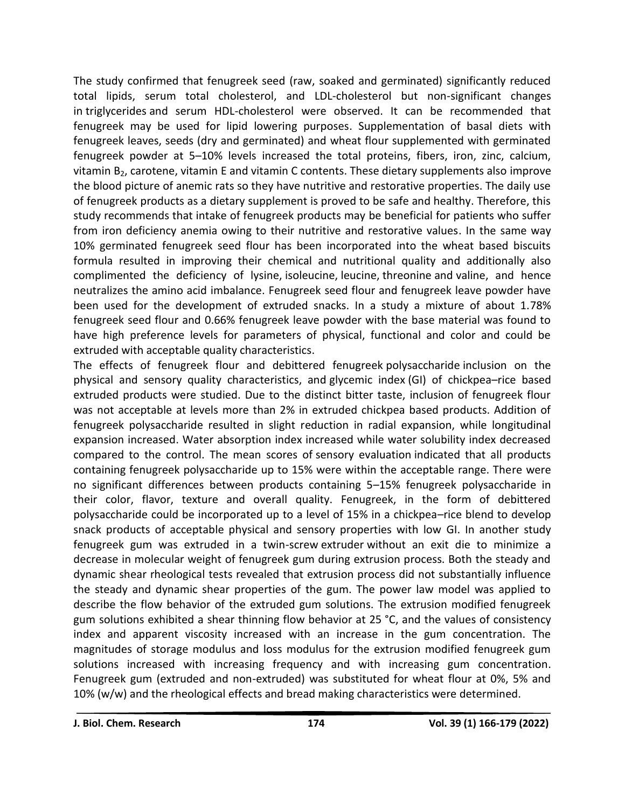The study confirmed that fenugreek seed (raw, soaked and germinated) significantly reduced total lipids, serum total cholesterol, and LDL-cholesterol but non-significant changes in [triglycerides](https://www.sciencedirect.com/topics/agricultural-and-biological-sciences/triglyceride) and serum HDL-cholesterol were observed. It can be recommended that fenugreek may be used for lipid lowering purposes. Supplementation of basal diets with fenugreek leaves, seeds (dry and germinated) and wheat flour supplemented with germinated fenugreek powder at 5–10% levels increased the total proteins, fibers, iron, zinc, calcium, vitamin  $B_2$ , [carotene,](https://www.sciencedirect.com/topics/agricultural-and-biological-sciences/carotene) [vitamin E](https://www.sciencedirect.com/topics/agricultural-and-biological-sciences/vitamin-e) and vitamin C contents. These dietary supplements also improve the blood picture of anemic rats so they have nutritive and restorative properties. The daily use of fenugreek products as a dietary supplement is proved to be safe and healthy. Therefore, this study recommends that intake of fenugreek products may be beneficial for patients who suffer from iron deficiency anemia owing to their nutritive and restorative values. In the same way 10% germinated fenugreek seed flour has been incorporated into the wheat based biscuits formula resulted in improving their chemical and nutritional quality and additionally also complimented the deficiency of lysine, [isoleucine,](https://www.sciencedirect.com/topics/agricultural-and-biological-sciences/isoleucine) [leucine,](https://www.sciencedirect.com/topics/agricultural-and-biological-sciences/leucine) [threonine](https://www.sciencedirect.com/topics/agricultural-and-biological-sciences/threonine) and [valine,](https://www.sciencedirect.com/topics/agricultural-and-biological-sciences/valine) and hence neutralizes the amino acid imbalance. Fenugreek seed flour and fenugreek leave powder have been used for the development of extruded snacks. In a study a mixture of about 1.78% fenugreek seed flour and 0.66% fenugreek leave powder with the base material was found to have high preference levels for parameters of physical, functional and color and could be extruded with acceptable quality characteristics.

The effects of fenugreek flour and debittered fenugreek [polysaccharide](https://www.sciencedirect.com/topics/agricultural-and-biological-sciences/polysaccharides) inclusion on the physical and sensory quality characteristics, and [glycemic index](https://www.sciencedirect.com/topics/agricultural-and-biological-sciences/glycemic-index) (GI) of chickpea–rice based extruded products were studied. Due to the distinct bitter taste, inclusion of fenugreek flour was not acceptable at levels more than 2% in extruded chickpea based products. Addition of fenugreek polysaccharide resulted in slight reduction in radial expansion, while longitudinal expansion increased. Water absorption index increased while water solubility index decreased compared to the control. The mean scores of [sensory evaluation](https://www.sciencedirect.com/topics/agricultural-and-biological-sciences/sensory-evaluation) indicated that all products containing fenugreek polysaccharide up to 15% were within the acceptable range. There were no significant differences between products containing 5–15% fenugreek polysaccharide in their color, flavor, texture and overall quality. Fenugreek, in the form of debittered polysaccharide could be incorporated up to a level of 15% in a chickpea–rice blend to develop snack products of acceptable physical and sensory properties with low GI. In another study fenugreek gum was extruded in a twin-screw [extruder](https://www.sciencedirect.com/topics/agricultural-and-biological-sciences/extruders) without an exit die to minimize a decrease in molecular weight of fenugreek gum during extrusion process. Both the steady and dynamic shear rheological tests revealed that extrusion process did not substantially influence the steady and dynamic shear properties of the gum. The power law model was applied to describe the flow behavior of the extruded gum solutions. The extrusion modified fenugreek gum solutions exhibited a shear thinning flow behavior at 25 °C, and the values of consistency index and apparent viscosity increased with an increase in the gum concentration. The magnitudes of storage modulus and loss modulus for the extrusion modified fenugreek gum solutions increased with increasing frequency and with increasing gum concentration. Fenugreek gum (extruded and non-extruded) was substituted for wheat flour at 0%, 5% and 10% (w/w) and the rheological effects and bread making characteristics were determined.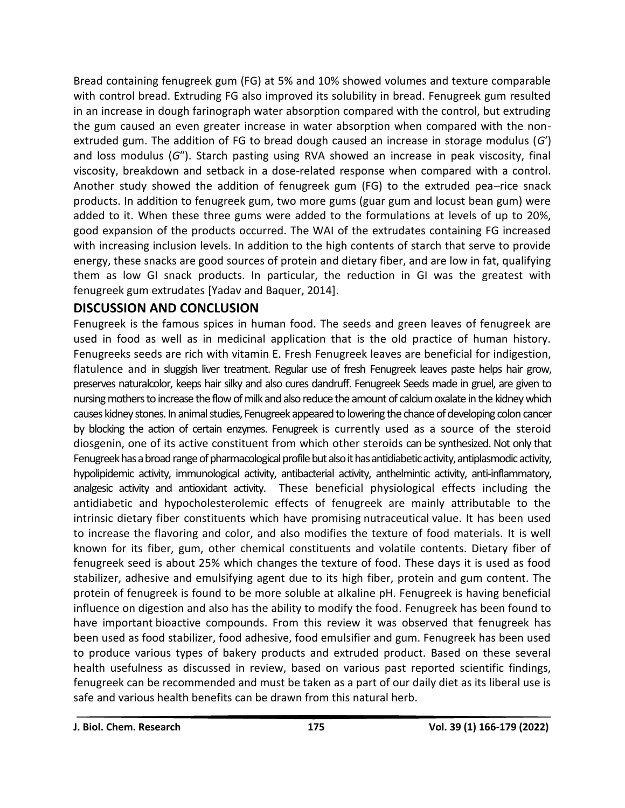Bread containing fenugreek gum (FG) at 5% and 10% showed volumes and texture comparable with control bread. Extruding FG also improved its solubility in bread. Fenugreek gum resulted in an increase in dough farinograph water absorption compared with the control, but extruding the gum caused an even greater increase in water absorption when compared with the nonextruded gum. The addition of FG to bread dough caused an increase in storage modulus (*G*′) and loss modulus (*G*″). Starch pasting using RVA showed an increase in peak viscosity, final viscosity, breakdown and setback in a dose-related response when compared with a control. Another study showed the addition of fenugreek gum (FG) to the extruded pea–rice snack products. In addition to fenugreek gum, two more gums (guar gum and locust bean gum) were added to it. When these three gums were added to the formulations at levels of up to 20%, good expansion of the products occurred. The WAI of the extrudates containing FG increased with increasing inclusion levels. In addition to the high contents of starch that serve to provide energy, these snacks are good sources of protein and dietary fiber, and are low in fat, qualifying them as low GI snack products. In particular, the reduction in GI was the greatest with fenugreek gum extrudates [Yadav and Baquer, 2014].

### **DISCUSSION AND CONCLUSION**

Fenugreek is the famous spices in human food. The seeds and green leaves of fenugreek are used in food as well as in medicinal application that is the old practice of human history. Fenugreeks seeds are rich with vitamin E. Fresh Fenugreek leaves are beneficial for indigestion, flatulence and in sluggish liver treatment. Regular use of fresh Fenugreek leaves paste helps hair grow, preserves naturalcolor, keeps hair silky and also cures dandruff. Fenugreek Seeds made in gruel, are given to nursing mothers to increase the flow of milk and also reduce the amount of calcium oxalate in the kidney which causes kidney stones. In animal studies, Fenugreek appeared to lowering the chance of developing colon cancer by blocking the action of certain enzymes. Fenugreek is currently used as a source of the steroid diosgenin, one of its active constituent from which other steroids can be synthesized. Not only that Fenugreek has a broad range of pharmacological profile but also it has antidiabetic activity, antiplasmodic activity, hypolipidemic activity, immunological activity, antibacterial activity, anthelmintic activity, anti-inflammatory, analgesic activity and antioxidant activity. These beneficial physiological effects including the antidiabetic and hypocholesterolemic effects of fenugreek are mainly attributable to the intrinsic dietary fiber constituents which have promising [nutraceutical](https://www.sciencedirect.com/topics/agricultural-and-biological-sciences/nutraceutical) value. It has been used to increase the flavoring and color, and also modifies the texture of food materials. It is well known for its fiber, gum, other chemical constituents and volatile contents. Dietary fiber of fenugreek seed is about 25% which changes the texture of food. These days it is used as food stabilizer, adhesive and emulsifying agent due to its high fiber, protein and gum content. The protein of fenugreek is found to be more soluble at alkaline pH. Fenugreek is having beneficial influence on digestion and also has the ability to modify the food. Fenugreek has been found to have important [bioactive compounds.](https://www.sciencedirect.com/topics/agricultural-and-biological-sciences/bioactive-compound) From this review it was observed that fenugreek has been used as food stabilizer, food adhesive, food emulsifier and gum. Fenugreek has been used to produce various types of bakery products and extruded product. Based on these several health usefulness as discussed in review, based on various past reported scientific findings, fenugreek can be recommended and must be taken as a part of our daily diet as its liberal use is safe and various health benefits can be drawn from this natural herb.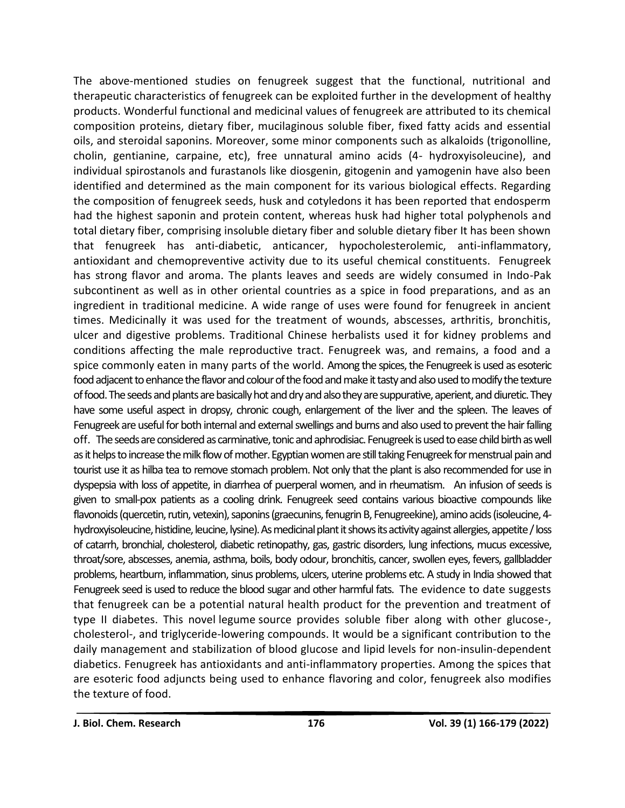The above-mentioned studies on fenugreek suggest that the functional, nutritional and therapeutic characteristics of fenugreek can be exploited further in the development of healthy products. Wonderful functional and medicinal values of fenugreek are attributed to its chemical composition proteins, dietary fiber, mucilaginous soluble fiber, fixed fatty acids and essential oils, and steroidal saponins. Moreover, some minor components such as alkaloids (trigonolline, cholin, gentianine, carpaine, etc), free unnatural amino acids (4- hydroxyisoleucine), and individual spirostanols and furastanols like diosgenin, gitogenin and yamogenin have also been identified and determined as the main component for its various biological effects. Regarding the composition of fenugreek seeds, husk and cotyledons it has been reported that endosperm had the highest saponin and protein content, whereas husk had higher total polyphenols and total dietary fiber, comprising insoluble dietary fiber and soluble dietary fiber It has been shown that fenugreek has anti-diabetic, anticancer, hypocholesterolemic, anti-inflammatory, antioxidant and chemopreventive activity due to its useful chemical constituents. Fenugreek has strong flavor and aroma. The plants leaves and seeds are widely consumed in Indo-Pak subcontinent as well as in other oriental countries as a spice in food preparations, and as an ingredient in traditional medicine. A wide range of uses were found for fenugreek in ancient times. Medicinally it was used for the treatment of wounds, abscesses, arthritis, bronchitis, ulcer and digestive problems. Traditional Chinese herbalists used it for kidney problems and conditions affecting the male reproductive tract. Fenugreek was, and remains, a food and a spice commonly eaten in many parts of the world. Among the spices, the Fenugreek is used as esoteric food adjacent to enhance the flavor and colour of the food and make it tasty and also used to modify the texture of food. The seeds and plants are basically hot and dry and also they are suppurative, aperient, and diuretic. They have some useful aspect in dropsy, chronic cough, enlargement of the liver and the spleen. The leaves of Fenugreek are useful for both internal and external swellings and burns and also used to prevent the hair falling off. The seeds are considered as carminative, tonic and aphrodisiac. Fenugreek is used to ease child birth as well as it helps to increase the milk flow of mother. Egyptian women are still taking Fenugreek for menstrual pain and tourist use it as hilba tea to remove stomach problem. Not only that the plant is also recommended for use in dyspepsia with loss of appetite, in diarrhea of puerperal women, and in rheumatism. An infusion of seeds is given to small-pox patients as a cooling drink. Fenugreek seed contains various bioactive compounds like flavonoids (quercetin, rutin, vetexin), saponins (graecunins, fenugrin B, Fenugreekine), amino acids (isoleucine, 4hydroxyisoleucine, histidine, leucine, lysine). As medicinal plant it shows its activity against allergies, appetite / loss of catarrh, bronchial, cholesterol, diabetic retinopathy, gas, gastric disorders, lung infections, mucus excessive, throat/sore, abscesses, anemia, asthma, boils, body odour, bronchitis, cancer,swollen eyes, fevers, gallbladder problems, heartburn, inflammation, sinus problems, ulcers, uterine problems etc. A study in India showed that Fenugreek seed is used to reduce the blood sugar and other harmful fats. The evidence to date suggests that fenugreek can be a potential natural health product for the prevention and treatment of type II diabetes. This novel [legume](https://www.sciencedirect.com/topics/agricultural-and-biological-sciences/legumes) source provides soluble fiber along with other glucose-, cholesterol-, and triglyceride-lowering compounds. It would be a significant contribution to the daily management and stabilization of [blood glucose and lipid](https://www.sciencedirect.com/topics/agricultural-and-biological-sciences/blood-lipids) levels for non-insulin-dependent diabetics. Fenugreek has antioxidants and anti-inflammatory properties. Among the spices that are esoteric food adjuncts being used to enhance flavoring and color, fenugreek also modifies the texture of food.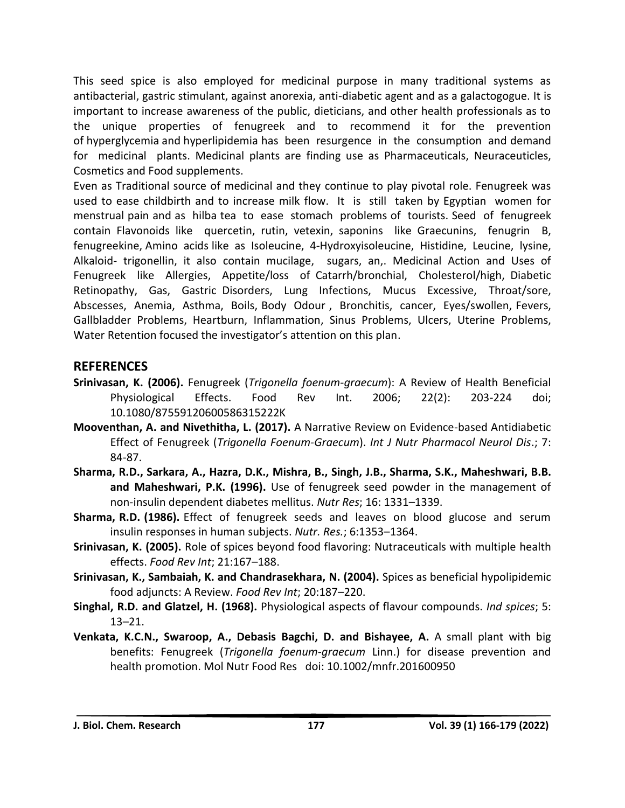This seed spice is also employed for medicinal purpose in many traditional systems as antibacterial, gastric stimulant, against anorexia, anti-diabetic agent and as a galactogogue. It is important to increase awareness of the public, dieticians, and other health professionals as to the unique properties of fenugreek and to recommend it for the prevention of [hyperglycemia](https://www.sciencedirect.com/topics/agricultural-and-biological-sciences/hyperglycemia) and [hyperlipidemia](https://www.sciencedirect.com/topics/agricultural-and-biological-sciences/hyperlipidemia) has been resurgence in the consumption and demand for medicinal plants. Medicinal plants are finding use as Pharmaceuticals, Neuraceuticles, Cosmetics and Food supplements.

Even as Traditional source of medicinal and they continue to play pivotal role. Fenugreek was used to ease childbirth and to increase milk flow. It is still taken by Egyptian women for menstrual pain and as hilba tea to ease stomach problems of tourists. Seed of fenugreek contain Flavonoids like quercetin, rutin, vetexin, saponins like Graecunins, fenugrin B, fenugreekine, Amino acids like as Isoleucine, 4-Hydroxyisoleucine, Histidine, Leucine, lysine, Alkaloid- trigonellin, it also contain mucilage, sugars, an,. Medicinal Action and Uses of Fenugreek like Allergies, Appetite/loss of Catarrh/bronchial, Cholesterol/high, Diabetic Retinopathy, Gas, Gastric Disorders, Lung Infections, Mucus Excessive, Throat/sore, Abscesses, Anemia, Asthma, Boils, Body Odour , Bronchitis, cancer, Eyes/swollen, Fevers, Gallbladder Problems, Heartburn, Inflammation, Sinus Problems, Ulcers, Uterine Problems, Water Retention focused the investigator's attention on this plan.

#### **REFERENCES**

- **Srinivasan, K. (2006).** Fenugreek (*Trigonella foenum-graecum*): A Review of Health Beneficial Physiological Effects. Food Rev Int. 2006; 22(2): 203-224 doi; 10.1080/87559120600586315222K
- **Mooventhan, A. and Nivethitha, L. (2017).** A Narrative Review on Evidence-based Antidiabetic Effect of Fenugreek (*Trigonella Foenum-Graecum*). *Int J Nutr Pharmacol Neurol Dis*.; 7: 84-87.
- **Sharma, R.D., Sarkara, A., Hazra, D.K., Mishra, B., Singh, J.B., Sharma, S.K., Maheshwari, B.B. and Maheshwari, P.K. (1996).** Use of fenugreek seed powder in the management of non-insulin dependent diabetes mellitus. *Nutr Res*; 16: 1331–1339.
- **Sharma, R.D. (1986).** Effect of fenugreek seeds and leaves on blood glucose and serum insulin responses in human subjects. *Nutr. Res.*; 6:1353–1364.
- **Srinivasan, K. (2005).** Role of spices beyond food flavoring: Nutraceuticals with multiple health effects. *Food Rev Int*; 21:167–188.
- **Srinivasan, K., Sambaiah, K. and Chandrasekhara, N. (2004).** Spices as beneficial hypolipidemic food adjuncts: A Review. *Food Rev Int*; 20:187–220.
- **Singhal, R.D. and Glatzel, H. (1968).** Physiological aspects of flavour compounds. *Ind spices*; 5: 13–21.
- **Venkata, K.C.N., Swaroop, A., Debasis Bagchi, D. and Bishayee, A.** A small plant with big benefits: Fenugreek (*Trigonella foenum-graecum* Linn.) for disease prevention and health promotion. Mol Nutr Food Res doi: 10.1002/mnfr.201600950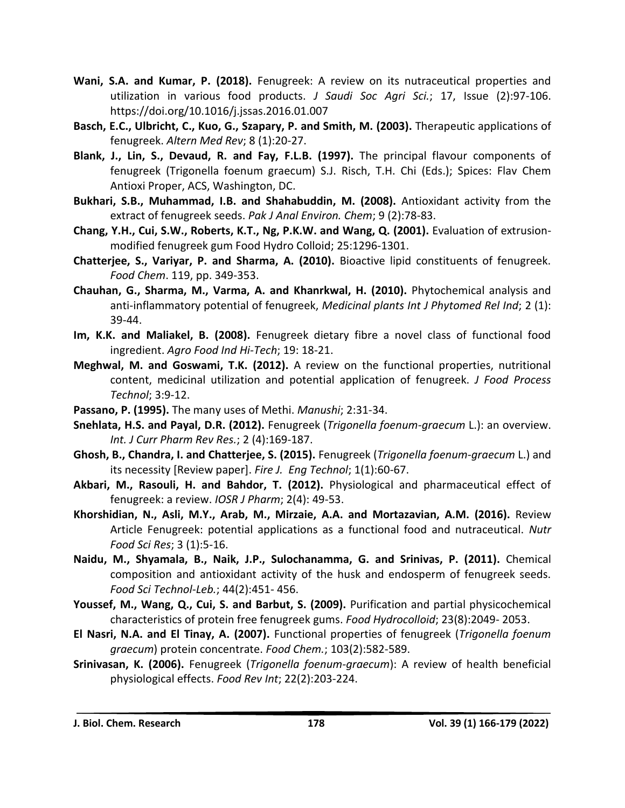- **Wani, S.A. and Kumar, P. (2018).** Fenugreek: A review on its nutraceutical properties and utilization in various food products. *J Saudi Soc Agri Sci.*; 17, Issue (2):97-106. https://doi.org/10.1016/j.jssas.2016.01.007
- **Basch, E.C., Ulbricht, C., Kuo, G., Szapary, P. and Smith, M. (2003).** Therapeutic applications of fenugreek. *Altern Med Rev*; 8 (1):20-27.
- **Blank, J., Lin, S., Devaud, R. and Fay, F.L.B. (1997).** The principal flavour components of fenugreek (Trigonella foenum graecum) S.J. Risch, T.H. Chi (Eds.); Spices: Flav Chem Antioxi Proper, ACS, Washington, DC.
- **Bukhari, S.B., Muhammad, I.B. and Shahabuddin, M. (2008).** Antioxidant activity from the extract of fenugreek seeds. *Pak J Anal Environ. Chem*; 9 (2):78-83.
- **Chang, Y.H., Cui, S.W., Roberts, K.T., Ng, P.K.W. and Wang, Q. (2001).** Evaluation of extrusionmodified fenugreek gum Food Hydro Colloid; 25:1296-1301.
- **Chatterjee, S., Variyar, P. and Sharma, A. (2010).** Bioactive lipid constituents of fenugreek. *Food Chem*. 119, pp. 349-353.
- **Chauhan, G., Sharma, M., Varma, A. and Khanrkwal, H. (2010).** Phytochemical analysis and anti-inflammatory potential of fenugreek, *Medicinal plants Int J Phytomed Rel Ind*; 2 (1): 39-44.
- **Im, K.K. and Maliakel, B. (2008).** Fenugreek dietary fibre a novel class of functional food ingredient. *Agro Food Ind Hi-Tech*; 19: 18-21.
- **Meghwal, M. and Goswami, T.K. (2012).** A review on the functional properties, nutritional content, medicinal utilization and potential application of fenugreek. *J Food Process Technol*; 3:9-12.
- **Passano, P. (1995).** The many uses of Methi. *Manushi*; 2:31-34.
- **Snehlata, H.S. and Payal, D.R. (2012).** Fenugreek (*Trigonella foenum-graecum* L.): an overview. *Int. J Curr Pharm Rev Res.*; 2 (4):169-187.
- **Ghosh, B., Chandra, I. and Chatterjee, S. (2015).** Fenugreek (*Trigonella foenum-graecum* L.) and its necessity [Review paper]. *Fire J. Eng Technol*; 1(1):60-67.
- **Akbari, M., Rasouli, H. and Bahdor, T. (2012).** Physiological and pharmaceutical effect of fenugreek: a review. *IOSR J Pharm*; 2(4): 49-53.
- **Khorshidian, N., Asli, M.Y., Arab, M., Mirzaie, A.A. and Mortazavian, A.M. (2016).** Review Article Fenugreek: potential applications as a functional food and nutraceutical. *Nutr Food Sci Res*; 3 (1):5-16.
- **Naidu, M., Shyamala, B., Naik, J.P., Sulochanamma, G. and Srinivas, P. (2011).** Chemical composition and antioxidant activity of the husk and endosperm of fenugreek seeds. *Food Sci Technol-Leb.*; 44(2):451- 456.
- **Youssef, M., Wang, Q., Cui, S. and Barbut, S. (2009).** Purification and partial physicochemical characteristics of protein free fenugreek gums. *Food Hydrocolloid*; 23(8):2049- 2053.
- **El Nasri, N.A. and El Tinay, A. (2007).** Functional properties of fenugreek (*Trigonella foenum graecum*) protein concentrate. *Food Chem.*; 103(2):582-589.
- **Srinivasan, K. (2006).** Fenugreek (*Trigonella foenum-graecum*): A review of health beneficial physiological effects. *Food Rev Int*; 22(2):203-224.